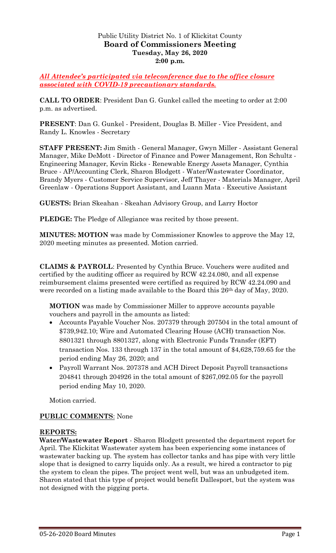### Public Utility District No. 1 of Klickitat County **Board of Commissioners Meeting Tuesday, May 26, 2020 2:00 p.m.**

*All Attendee's participated via teleconference due to the office closure associated with COVID-19 precautionary standards.*

**CALL TO ORDER**: President Dan G. Gunkel called the meeting to order at 2:00 p.m. as advertised.

**PRESENT**: Dan G. Gunkel - President, Douglas B. Miller - Vice President, and Randy L. Knowles - Secretary

**STAFF PRESENT:** Jim Smith - General Manager, Gwyn Miller - Assistant General Manager, Mike DeMott - Director of Finance and Power Management, Ron Schultz - Engineering Manager, Kevin Ricks - Renewable Energy Assets Manager, Cynthia Bruce - AP/Accounting Clerk, Sharon Blodgett - Water/Wastewater Coordinator, Brandy Myers - Customer Service Supervisor, Jeff Thayer - Materials Manager, April Greenlaw - Operations Support Assistant, and Luann Mata - Executive Assistant

**GUESTS:** Brian Skeahan - Skeahan Advisory Group, and Larry Hoctor

**PLEDGE:** The Pledge of Allegiance was recited by those present.

**MINUTES: MOTION** was made by Commissioner Knowles to approve the May 12, 2020 meeting minutes as presented. Motion carried.

**CLAIMS & PAYROLL**: Presented by Cynthia Bruce. Vouchers were audited and certified by the auditing officer as required by RCW 42.24.080, and all expense reimbursement claims presented were certified as required by RCW 42.24.090 and were recorded on a listing made available to the Board this 26th day of May, 2020.

**MOTION** was made by Commissioner Miller to approve accounts payable vouchers and payroll in the amounts as listed:

- Accounts Payable Voucher Nos. 207379 through 207504 in the total amount of \$739,942.10; Wire and Automated Clearing House (ACH) transaction Nos. 8801321 through 8801327, along with Electronic Funds Transfer (EFT) transaction Nos. 133 through 137 in the total amount of \$4,628,759.65 for the period ending May 26, 2020; and
- Payroll Warrant Nos. 207378 and ACH Direct Deposit Payroll transactions 204841 through 204926 in the total amount of \$267,092.05 for the payroll period ending May 10, 2020.

Motion carried.

#### **PUBLIC COMMENTS**: None

#### **REPORTS:**

**Water/Wastewater Report** - Sharon Blodgett presented the department report for April. The Klickitat Wastewater system has been experiencing some instances of wastewater backing up. The system has collector tanks and has pipe with very little slope that is designed to carry liquids only. As a result, we hired a contractor to pig the system to clean the pipes. The project went well, but was an unbudgeted item. Sharon stated that this type of project would benefit Dallesport, but the system was not designed with the pigging ports.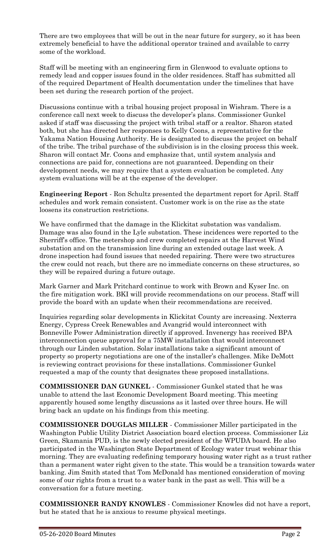There are two employees that will be out in the near future for surgery, so it has been extremely beneficial to have the additional operator trained and available to carry some of the workload.

Staff will be meeting with an engineering firm in Glenwood to evaluate options to remedy lead and copper issues found in the older residences. Staff has submitted all of the required Department of Health documentation under the timelines that have been set during the research portion of the project.

Discussions continue with a tribal housing project proposal in Wishram. There is a conference call next week to discuss the developer's plans. Commissioner Gunkel asked if staff was discussing the project with tribal staff or a realtor. Sharon stated both, but she has directed her responses to Kelly Coons, a representative for the Yakama Nation Housing Authority. He is designated to discuss the project on behalf of the tribe. The tribal purchase of the subdivision is in the closing process this week. Sharon will contact Mr. Coons and emphasize that, until system analysis and connections are paid for, connections are not guaranteed. Depending on their development needs, we may require that a system evaluation be completed. Any system evaluations will be at the expense of the developer.

**Engineering Report** - Ron Schultz presented the department report for April. Staff schedules and work remain consistent. Customer work is on the rise as the state loosens its construction restrictions.

We have confirmed that the damage in the Klickitat substation was vandalism. Damage was also found in the Lyle substation. These incidences were reported to the Sherriff's office. The metershop and crew completed repairs at the Harvest Wind substation and on the transmission line during an extended outage last week. A drone inspection had found issues that needed repairing. There were two structures the crew could not reach, but there are no immediate concerns on these structures, so they will be repaired during a future outage.

Mark Garner and Mark Pritchard continue to work with Brown and Kyser Inc. on the fire mitigation work. BKI will provide recommendations on our process. Staff will provide the board with an update when their recommendations are received.

Inquiries regarding solar developments in Klickitat County are increasing. Nexterra Energy, Cypress Creek Renewables and Avangrid would interconnect with Bonneville Power Administration directly if approved. Invenergy has received BPA interconnection queue approval for a 75MW installation that would interconnect through our Linden substation. Solar installations take a significant amount of property so property negotiations are one of the installer's challenges. Mike DeMott is reviewing contract provisions for these installations. Commissioner Gunkel requested a map of the county that designates these proposed installations.

**COMMISSIONER DAN GUNKEL** - Commissioner Gunkel stated that he was unable to attend the last Economic Development Board meeting. This meeting apparently housed some lengthy discussions as it lasted over three hours. He will bring back an update on his findings from this meeting.

**COMMISSIONER DOUGLAS MILLER** - Commissioner Miller participated in the Washington Public Utility District Association board election process. Commissioner Liz Green, Skamania PUD, is the newly elected president of the WPUDA board. He also participated in the Washington State Department of Ecology water trust webinar this morning. They are evaluating redefining temporary housing water right as a trust rather than a permanent water right given to the state. This would be a transition towards water banking. Jim Smith stated that Tom McDonald has mentioned consideration of moving some of our rights from a trust to a water bank in the past as well. This will be a conversation for a future meeting.

**COMMISSIONER RANDY KNOWLES** - Commissioner Knowles did not have a report, but he stated that he is anxious to resume physical meetings.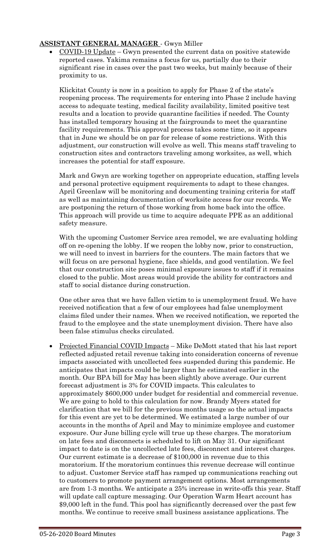## **ASSISTANT GENERAL MANAGER** - Gwyn Miller

• COVID-19 Update – Gwyn presented the current data on positive statewide reported cases. Yakima remains a focus for us, partially due to their significant rise in cases over the past two weeks, but mainly because of their proximity to us.

Klickitat County is now in a position to apply for Phase 2 of the state's reopening process. The requirements for entering into Phase 2 include having access to adequate testing, medical facility availability, limited positive test results and a location to provide quarantine facilities if needed. The County has installed temporary housing at the fairgrounds to meet the quarantine facility requirements. This approval process takes some time, so it appears that in June we should be on par for release of some restrictions. With this adjustment, our construction will evolve as well. This means staff traveling to construction sites and contractors traveling among worksites, as well, which increases the potential for staff exposure.

Mark and Gwyn are working together on appropriate education, staffing levels and personal protective equipment requirements to adapt to these changes. April Greenlaw will be monitoring and documenting training criteria for staff as well as maintaining documentation of worksite access for our records. We are postponing the return of those working from home back into the office. This approach will provide us time to acquire adequate PPE as an additional safety measure.

With the upcoming Customer Service area remodel, we are evaluating holding off on re-opening the lobby. If we reopen the lobby now, prior to construction, we will need to invest in barriers for the counters. The main factors that we will focus on are personal hygiene, face shields, and good ventilation. We feel that our construction site poses minimal exposure issues to staff if it remains closed to the public. Most areas would provide the ability for contractors and staff to social distance during construction.

One other area that we have fallen victim to is unemployment fraud. We have received notification that a few of our employees had false unemployment claims filed under their names. When we received notification, we reported the fraud to the employee and the state unemployment division. There have also been false stimulus checks circulated.

 Projected Financial COVID Impacts – Mike DeMott stated that his last report reflected adjusted retail revenue taking into consideration concerns of revenue impacts associated with uncollected fees suspended during this pandemic. He anticipates that impacts could be larger than he estimated earlier in the month. Our BPA bill for May has been slightly above average. Our current forecast adjustment is 3% for COVID impacts. This calculates to approximately \$600,000 under budget for residential and commercial revenue. We are going to hold to this calculation for now. Brandy Myers stated for clarification that we bill for the previous months usage so the actual impacts for this event are yet to be determined. We estimated a large number of our accounts in the months of April and May to minimize employee and customer exposure. Our June billing cycle will true up these charges. The moratorium on late fees and disconnects is scheduled to lift on May 31. Our significant impact to date is on the uncollected late fees, disconnect and interest charges. Our current estimate is a decrease of \$100,000 in revenue due to this moratorium. If the moratorium continues this revenue decrease will continue to adjust. Customer Service staff has ramped up communications reaching out to customers to promote payment arrangement options. Most arrangements are from 1-3 months. We anticipate a 25% increase in write-offs this year. Staff will update call capture messaging. Our Operation Warm Heart account has \$9,000 left in the fund. This pool has significantly decreased over the past few months. We continue to receive small business assistance applications. The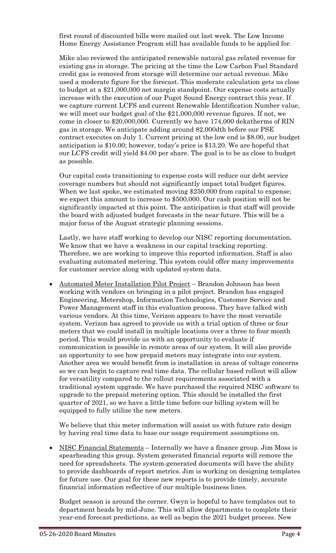first round of discounted bills were mailed out last week. The Low Income Home Energy Assistance Program still has available funds to be applied for.

Mike also reviewed the anticipated renewable natural gas related revenue for existing gas in storage. The pricing at the time the Low Carbon Fuel Standard credit gas is removed from storage will determine our actual revenue. Mike used a moderate figure for the forecast. This moderate calculation gets us close to budget at a \$21,000,000 net margin standpoint. Our expense costs actually increase with the execution of our Puget Sound Energy contract this year. If we capture current LCFS and current Renewable Identification Number value, we will meet our budget goal of the \$21,000,000 revenue figures. If not, we come in closer to \$20,000,000. Currently we have 174,000 dekatherms of RIN gas in storage. We anticipate adding around 82,000dth before our PSE contract executes on July 1. Current pricing at the low end is \$8.00, our budget anticipation is \$10.00; however, today's price is \$13.20. We are hopeful that our LCFS credit will yield \$4.00 per share. The goal is to be as close to budget as possible.

Our capital costs transitioning to expense costs will reduce our debt service coverage numbers but should not significantly impact total budget figures. When we last spoke, we estimated moving \$250,000 from capital to expense; we expect this amount to increase to \$500,000. Our cash position will not be significantly impacted at this point. The anticipation is that staff will provide the board with adjusted budget forecasts in the near future. This will be a major focus of the August strategic planning sessions.

Lastly, we have staff working to develop our NISC reporting documentation. We know that we have a weakness in our capital tracking reporting. Therefore, we are working to improve this reported information. Staff is also evaluating automated metering. This system could offer many improvements for customer service along with updated system data.

• Automated Meter Installation Pilot Project – Brandon Johnson has been working with vendors on bringing in a pilot project. Brandon has engaged Engineering, Metershop, Information Technologies, Customer Service and Power Management staff in this evaluation process. They have talked with various vendors. At this time, Verizon appears to have the most versatile system. Verizon has agreed to provide us with a trial option of three or four meters that we could install in multiple locations over a three to four month period. This would provide us with an opportunity to evaluate if communication is possible in remote areas of our system. It will also provide an opportunity to see how prepaid meters may integrate into our system. Another area we would benefit from is installation in areas of voltage concerns so we can begin to capture real time data. The cellular based rollout will allow for versatility compared to the rollout requirements associated with a traditional system upgrade. We have purchased the required NISC software to upgrade to the prepaid metering option. This should be installed the first quarter of 2021, so we have a little time before our billing system will be equipped to fully utilize the new meters.

We believe that this meter information will assist us with future rate design by having real time data to base our usage requirement assumptions on.

 NISC Financial Statements – Internally we have a finance group. Jim Moss is spearheading this group. System generated financial reports will remove the need for spreadsheets. The system-generated documents will have the ability to provide dashboards of report metrics. Jim is working on designing templates for future use. Our goal for these new reports is to provide timely, accurate financial information reflective of our multiple business lines.

Budget season is around the corner. Gwyn is hopeful to have templates out to department heads by mid-June. This will allow departments to complete their year-end forecast predictions, as well as begin the 2021 budget process. New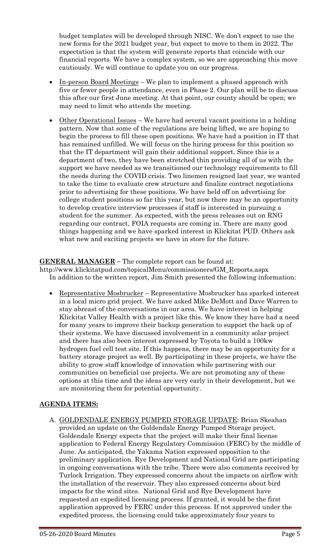budget templates will be developed through NISC. We don't expect to use the new forms for the 2021 budget year, but expect to move to them in 2022. The expectation is that the system will generate reports that coincide with our financial reports. We have a complex system, so we are approaching this move cautiously. We will continue to update you on our progress.

- In-person Board Meetings We plan to implement a phased approach with five or fewer people in attendance, even in Phase 2. Our plan will be to discuss this after our first June meeting. At that point, our county should be open; we may need to limit who attends the meeting.
- Other Operational Issues We have had several vacant positions in a holding pattern. Now that some of the regulations are being lifted, we are hoping to begin the process to fill these open positions. We have had a position in IT that has remained unfilled. We will focus on the hiring process for this position so that the IT department will gain their additional support. Since this is a department of two, they have been stretched thin providing all of us with the support we have needed as we transitioned our technology requirements to fill the needs during the COVID crisis. Two linemen resigned last year, we wanted to take the time to evaluate crew structure and finalize contract negotiations prior to advertising for these positions. We have held off on advertising for college student positions so far this year, but now there may be an opportunity to develop creative interview processes if staff is interested in pursuing a student for the summer. As expected, with the press releases out on RNG regarding our contract, FOIA requests are coming in. There are many good things happening and we have sparked interest in Klickitat PUD. Others ask what new and exciting projects we have in store for the future.

# **GENERAL MANAGER –** The complete report can be found at:

http://www.klickitatpud.com/topicalMenu/commissioners/GM\_Reports.aspx In addition to the written report, Jim Smith presented the following information:

 Representative Mosbrucker – Representative Mosbrucker has sparked interest in a local micro grid project. We have asked Mike DeMott and Dave Warren to stay abreast of the conversations in our area. We have interest in helping Klickitat Valley Health with a project like this. We know they have had a need for many years to improve their backup generation to support the back up of their systems. We have discussed involvement in a community solar project and there has also been interest expressed by Toyota to build a 100kw hydrogen fuel cell test site. If this happens, there may be an opportunity for a battery storage project as well. By participating in these projects, we have the ability to grow staff knowledge of innovation while partnering with our communities on beneficial use projects. We are not promoting any of these options at this time and the ideas are very early in their development, but we are monitoring them for potential opportunity.

## **AGENDA ITEMS:**

A. GOLDENDALE ENERGY PUMPED STORAGE UPDATE: Brian Skeahan provided an update on the Goldendale Energy Pumped Storage project. Goldendale Energy expects that the project will make their final license application to Federal Energy Regulatory Commission (FERC) by the middle of June. As anticipated, the Yakama Nation expressed opposition to the preliminary application. Rye Development and National Grid are participating in ongoing conversations with the tribe. There were also comments received by Turlock Irrigation. They expressed concerns about the impacts on airflow with the installation of the reservoir. They also expressed concerns about bird impacts for the wind sites. National Grid and Rye Development have requested an expedited licensing process. If granted, it would be the first application approved by FERC under this process. If not approved under the expedited process, the licensing could take approximately four years to